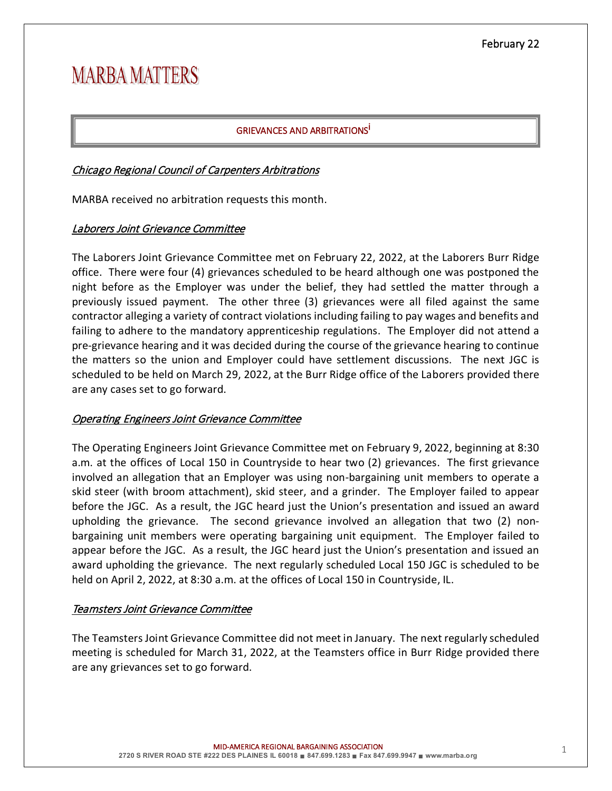# **MARBA MATTERS**

# GRIEVANCES AND ARBITRATIONS<sup>İ</sup>

## Chicago Regional Council of Carpenters Arbitrations

MARBA received no arbitration requests this month.

# Laborers Joint Grievance Committee

The Laborers Joint Grievance Committee met on February 22, 2022, at the Laborers Burr Ridge office. There were four (4) grievances scheduled to be heard although one was postponed the night before as the Employer was under the belief, they had settled the matter through a previously issued payment. The other three (3) grievances were all filed against the same contractor alleging a variety of contract violations including failing to pay wages and benefits and failing to adhere to the mandatory apprenticeship regulations. The Employer did not attend a pre-grievance hearing and it was decided during the course of the grievance hearing to continue the matters so the union and Employer could have settlement discussions. The next JGC is scheduled to be held on March 29, 2022, at the Burr Ridge office of the Laborers provided there are any cases set to go forward.

## Operating Engineers Joint Grievance Committee

The Operating Engineers Joint Grievance Committee met on February 9, 2022, beginning at 8:30 a.m. at the offices of Local 150 in Countryside to hear two (2) grievances. The first grievance involved an allegation that an Employer was using non-bargaining unit members to operate a skid steer (with broom attachment), skid steer, and a grinder. The Employer failed to appear before the JGC. As a result, the JGC heard just the Union's presentation and issued an award upholding the grievance. The second grievance involved an allegation that two (2) nonbargaining unit members were operating bargaining unit equipment. The Employer failed to appear before the JGC. As a result, the JGC heard just the Union's presentation and issued an award upholding the grievance. The next regularly scheduled Local 150 JGC is scheduled to be held on April 2, 2022, at 8:30 a.m. at the offices of Local 150 in Countryside, IL.

## Teamsters Joint Grievance Committee

The Teamsters Joint Grievance Committee did not meet in January. The next regularly scheduled meeting is scheduled for March 31, 2022, at the Teamsters office in Burr Ridge provided there are any grievances set to go forward.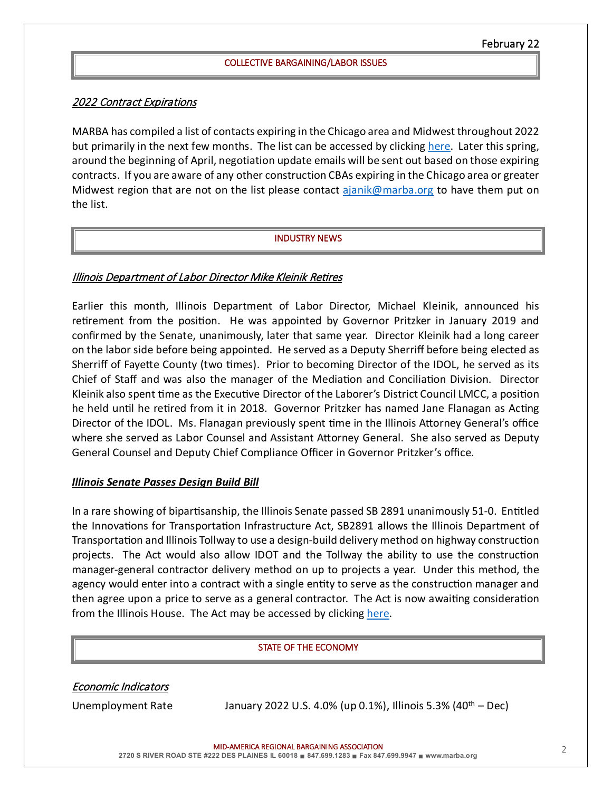## 2022 Contract Expirations

MARBA has compiled a list of contacts expiring in the Chicago area and Midwest throughout 2022 but primarily in the next few months. The list can be accessed by clicking [here.](https://www.marba.org/_files/ugd/46cc69_0d471baa38d34e8486246894184251bb.pdf) Later this spring, around the beginning of April, negotiation update emails will be sent out based on those expiring contracts. If you are aware of any other construction CBAs expiring in the Chicago area or greater Midwest region that are not on the list please contact [ajanik@marba.org](mailto:ajanik@marba.org) to have them put on the list.

### INDUSTRY NEWS

## Illinois Department of Labor Director Mike Kleinik Retires

Earlier this month, Illinois Department of Labor Director, Michael Kleinik, announced his retirement from the position. He was appointed by Governor Pritzker in January 2019 and confirmed by the Senate, unanimously, later that same year. Director Kleinik had a long career on the labor side before being appointed. He served as a Deputy Sherriff before being elected as Sherriff of Fayette County (two times). Prior to becoming Director of the IDOL, he served as its Chief of Staff and was also the manager of the Mediation and Conciliation Division. Director Kleinik also spent time as the Executive Director of the Laborer's District Council LMCC, a position he held until he retired from it in 2018. Governor Pritzker has named Jane Flanagan as Acting Director of the IDOL. Ms. Flanagan previously spent time in the Illinois Attorney General's office where she served as Labor Counsel and Assistant Attorney General. She also served as Deputy General Counsel and Deputy Chief Compliance Officer in Governor Pritzker's office.

## *Illinois Senate Passes Design Build Bill*

In a rare showing of bipartisanship, the Illinois Senate passed SB 2891 unanimously 51-0. Entitled the Innovations for Transportation Infrastructure Act, SB2891 allows the Illinois Department of Transportation and Illinois Tollway to use a design-build delivery method on highway construction projects. The Act would also allow IDOT and the Tollway the ability to use the construction manager-general contractor delivery method on up to projects a year. Under this method, the agency would enter into a contract with a single entity to serve as the construction manager and then agree upon a price to serve as a general contractor. The Act is now awaiting consideration from the Illinois House. The Act may be accessed by clicking [here.](https://www.ilga.gov/legislation/BillStatus.asp?DocNum=2981&GAID=16&DocTypeID=SB&LegId=137409&SessionID=110&GA=102)

#### STATE OF THE ECONOMY

Economic Indicators

Unemployment Rate January 2022 U.S. 4.0% (up 0.1%), Illinois 5.3% (40<sup>th</sup> – Dec)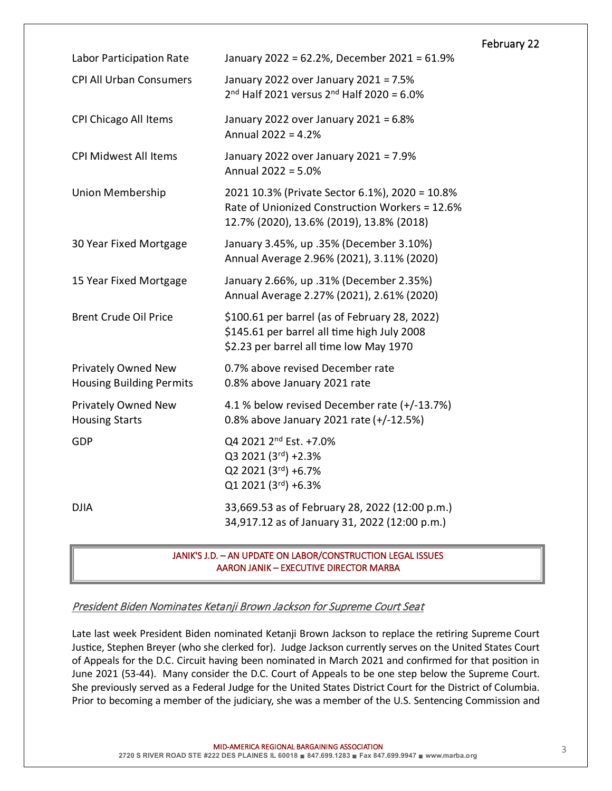|                                                               |                                                                                                                                              | February 22 |
|---------------------------------------------------------------|----------------------------------------------------------------------------------------------------------------------------------------------|-------------|
| Labor Participation Rate                                      | January 2022 = 62.2%, December 2021 = 61.9%                                                                                                  |             |
| <b>CPI All Urban Consumers</b>                                | January 2022 over January 2021 = 7.5%<br>$2nd$ Half 2021 versus $2nd$ Half 2020 = 6.0%                                                       |             |
| <b>CPI Chicago All Items</b>                                  | January 2022 over January 2021 = 6.8%<br>Annual 2022 = 4.2%                                                                                  |             |
| <b>CPI Midwest All Items</b>                                  | January 2022 over January 2021 = 7.9%<br>Annual 2022 = 5.0%                                                                                  |             |
| <b>Union Membership</b>                                       | 2021 10.3% (Private Sector 6.1%), 2020 = 10.8%<br>Rate of Unionized Construction Workers = 12.6%<br>12.7% (2020), 13.6% (2019), 13.8% (2018) |             |
| 30 Year Fixed Mortgage                                        | January 3.45%, up .35% (December 3.10%)<br>Annual Average 2.96% (2021), 3.11% (2020)                                                         |             |
| 15 Year Fixed Mortgage                                        | January 2.66%, up .31% (December 2.35%)<br>Annual Average 2.27% (2021), 2.61% (2020)                                                         |             |
| <b>Brent Crude Oil Price</b>                                  | \$100.61 per barrel (as of February 28, 2022)<br>\$145.61 per barrel all time high July 2008<br>\$2.23 per barrel all time low May 1970      |             |
| <b>Privately Owned New</b><br><b>Housing Building Permits</b> | 0.7% above revised December rate<br>0.8% above January 2021 rate                                                                             |             |
| Privately Owned New<br><b>Housing Starts</b>                  | 4.1 % below revised December rate (+/-13.7%)<br>0.8% above January 2021 rate (+/-12.5%)                                                      |             |
| GDP                                                           | Q4 2021 2 <sup>nd</sup> Est. +7.0%<br>Q3 2021 (3rd) +2.3%<br>Q2 2021 (3rd) +6.7%<br>Q1 2021 (3rd) +6.3%                                      |             |
| <b>DJIA</b>                                                   | 33,669.53 as of February 28, 2022 (12:00 p.m.)<br>34,917.12 as of January 31, 2022 (12:00 p.m.)                                              |             |

 JANIK'S J.D. – AN UPDATE ON LABOR/CONSTRUCTION LEGAL ISSUES AARON JANIK – EXECUTIVE DIRECTOR MARBA

President Biden Nominates Ketanji Brown Jackson for Supreme Court Seat

Late last week President Biden nominated Ketanji Brown Jackson to replace the retiring Supreme Court Justice, Stephen Breyer (who she clerked for). Judge Jackson currently serves on the United States Court of Appeals for the D.C. Circuit having been nominated in March 2021 and confirmed for that position in June 2021 (53-44). Many consider the D.C. Court of Appeals to be one step below the Supreme Court. She previously served as a Federal Judge for the United States District Court for the District of Columbia. Prior to becoming a member of the judiciary, she was a member of the U.S. Sentencing Commission and